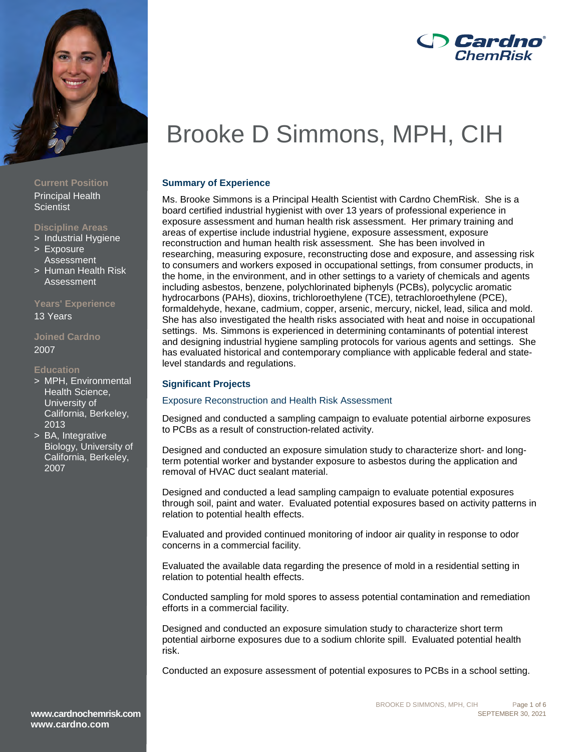

# **Current Position**

Principal Health **Scientist** 

# **Discipline Areas**

- > Industrial Hygiene
- > Exposure Assessment
- > Human Health Risk Assessment

# **Years' Experience**

13 Years

# **Joined Cardno** 2007

### **Education**

- > MPH, Environmental Health Science, University of California, Berkeley, 2013
- > BA, Integrative Biology, University of California, Berkeley, 2007

# *Cardno* ChemRisk

# Brooke D Simmons, MPH, CIH

# **Summary of Experience**

Ms. Brooke Simmons is a Principal Health Scientist with Cardno ChemRisk. She is a board certified industrial hygienist with over 13 years of professional experience in exposure assessment and human health risk assessment. Her primary training and areas of expertise include industrial hygiene, exposure assessment, exposure reconstruction and human health risk assessment. She has been involved in researching, measuring exposure, reconstructing dose and exposure, and assessing risk to consumers and workers exposed in occupational settings, from consumer products, in the home, in the environment, and in other settings to a variety of chemicals and agents including asbestos, benzene, polychlorinated biphenyls (PCBs), polycyclic aromatic hydrocarbons (PAHs), dioxins, trichloroethylene (TCE), tetrachloroethylene (PCE), formaldehyde, hexane, cadmium, copper, arsenic, mercury, nickel, lead, silica and mold. She has also investigated the health risks associated with heat and noise in occupational settings. Ms. Simmons is experienced in determining contaminants of potential interest and designing industrial hygiene sampling protocols for various agents and settings. She has evaluated historical and contemporary compliance with applicable federal and statelevel standards and regulations.

# **Significant Projects**

# Exposure Reconstruction and Health Risk Assessment

Designed and conducted a sampling campaign to evaluate potential airborne exposures to PCBs as a result of construction-related activity.

Designed and conducted an exposure simulation study to characterize short- and longterm potential worker and bystander exposure to asbestos during the application and removal of HVAC duct sealant material.

Designed and conducted a lead sampling campaign to evaluate potential exposures through soil, paint and water. Evaluated potential exposures based on activity patterns in relation to potential health effects.

Evaluated and provided continued monitoring of indoor air quality in response to odor concerns in a commercial facility.

Evaluated the available data regarding the presence of mold in a residential setting in relation to potential health effects.

Conducted sampling for mold spores to assess potential contamination and remediation efforts in a commercial facility.

Designed and conducted an exposure simulation study to characterize short term potential airborne exposures due to a sodium chlorite spill. Evaluated potential health risk.

Conducted an exposure assessment of potential exposures to PCBs in a school setting.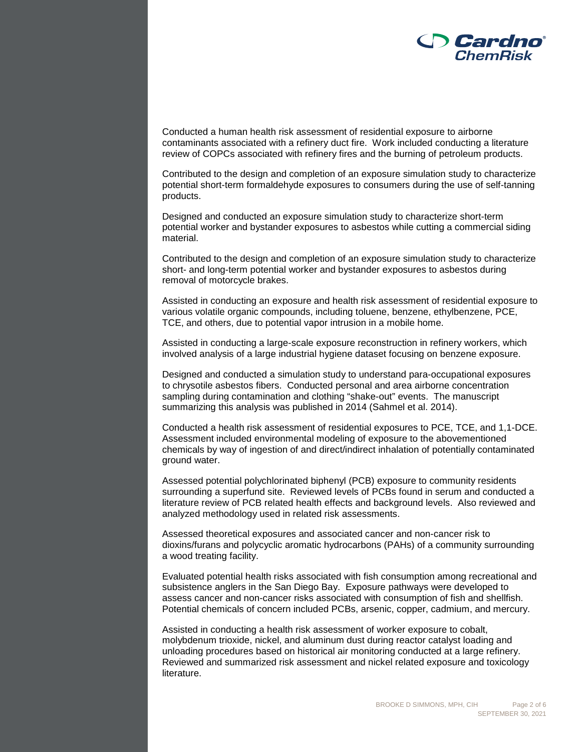

Conducted a human health risk assessment of residential exposure to airborne contaminants associated with a refinery duct fire. Work included conducting a literature review of COPCs associated with refinery fires and the burning of petroleum products.

Contributed to the design and completion of an exposure simulation study to characterize potential short-term formaldehyde exposures to consumers during the use of self-tanning products.

Designed and conducted an exposure simulation study to characterize short-term potential worker and bystander exposures to asbestos while cutting a commercial siding material.

Contributed to the design and completion of an exposure simulation study to characterize short- and long-term potential worker and bystander exposures to asbestos during removal of motorcycle brakes.

Assisted in conducting an exposure and health risk assessment of residential exposure to various volatile organic compounds, including toluene, benzene, ethylbenzene, PCE, TCE, and others, due to potential vapor intrusion in a mobile home.

Assisted in conducting a large-scale exposure reconstruction in refinery workers, which involved analysis of a large industrial hygiene dataset focusing on benzene exposure.

Designed and conducted a simulation study to understand para-occupational exposures to chrysotile asbestos fibers. Conducted personal and area airborne concentration sampling during contamination and clothing "shake-out" events. The manuscript summarizing this analysis was published in 2014 (Sahmel et al. 2014).

Conducted a health risk assessment of residential exposures to PCE, TCE, and 1,1-DCE. Assessment included environmental modeling of exposure to the abovementioned chemicals by way of ingestion of and direct/indirect inhalation of potentially contaminated ground water.

Assessed potential polychlorinated biphenyl (PCB) exposure to community residents surrounding a superfund site. Reviewed levels of PCBs found in serum and conducted a literature review of PCB related health effects and background levels. Also reviewed and analyzed methodology used in related risk assessments.

Assessed theoretical exposures and associated cancer and non-cancer risk to dioxins/furans and polycyclic aromatic hydrocarbons (PAHs) of a community surrounding a wood treating facility.

Evaluated potential health risks associated with fish consumption among recreational and subsistence anglers in the San Diego Bay. Exposure pathways were developed to assess cancer and non-cancer risks associated with consumption of fish and shellfish. Potential chemicals of concern included PCBs, arsenic, copper, cadmium, and mercury.

Assisted in conducting a health risk assessment of worker exposure to cobalt, molybdenum trioxide, nickel, and aluminum dust during reactor catalyst loading and unloading procedures based on historical air monitoring conducted at a large refinery. Reviewed and summarized risk assessment and nickel related exposure and toxicology literature.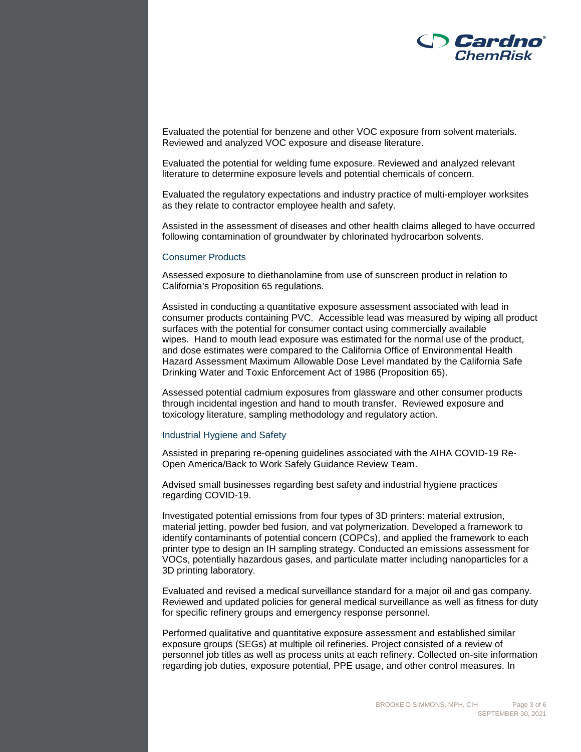

Evaluated the potential for benzene and other VOC exposure from solvent materials. Reviewed and analyzed VOC exposure and disease literature.

Evaluated the potential for welding fume exposure. Reviewed and analyzed relevant literature to determine exposure levels and potential chemicals of concern.

Evaluated the regulatory expectations and industry practice of multi-employer worksites as they relate to contractor employee health and safety.

Assisted in the assessment of diseases and other health claims alleged to have occurred following contamination of groundwater by chlorinated hydrocarbon solvents.

### Consumer Products

Assessed exposure to diethanolamine from use of sunscreen product in relation to California's Proposition 65 regulations.

Assisted in conducting a quantitative exposure assessment associated with lead in consumer products containing PVC. Accessible lead was measured by wiping all product surfaces with the potential for consumer contact using commercially available wipes. Hand to mouth lead exposure was estimated for the normal use of the product, and dose estimates were compared to the California Office of Environmental Health Hazard Assessment Maximum Allowable Dose Level mandated by the California Safe Drinking Water and Toxic Enforcement Act of 1986 (Proposition 65).

Assessed potential cadmium exposures from glassware and other consumer products through incidental ingestion and hand to mouth transfer. Reviewed exposure and toxicology literature, sampling methodology and regulatory action.

#### Industrial Hygiene and Safety

Assisted in preparing re-opening guidelines associated with the AIHA COVID-19 Re-Open America/Back to Work Safely Guidance Review Team.

Advised small businesses regarding best safety and industrial hygiene practices regarding COVID-19.

Investigated potential emissions from four types of 3D printers: material extrusion, material jetting, powder bed fusion, and vat polymerization. Developed a framework to identify contaminants of potential concern (COPCs), and applied the framework to each printer type to design an IH sampling strategy. Conducted an emissions assessment for VOCs, potentially hazardous gases, and particulate matter including nanoparticles for a 3D printing laboratory.

Evaluated and revised a medical surveillance standard for a major oil and gas company. Reviewed and updated policies for general medical surveillance as well as fitness for duty for specific refinery groups and emergency response personnel.

Performed qualitative and quantitative exposure assessment and established similar exposure groups (SEGs) at multiple oil refineries. Project consisted of a review of personnel job titles as well as process units at each refinery. Collected on-site information regarding job duties, exposure potential, PPE usage, and other control measures. In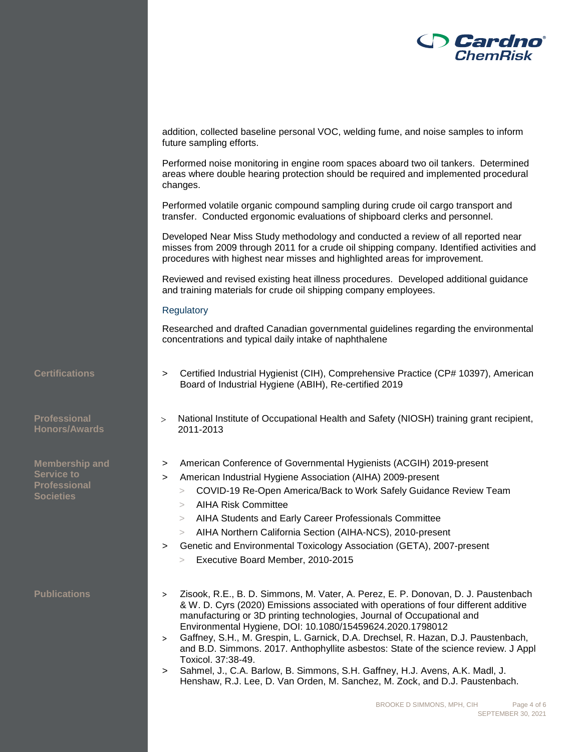

addition, collected baseline personal VOC, welding fume, and noise samples to inform future sampling efforts.

Performed noise monitoring in engine room spaces aboard two oil tankers. Determined areas where double hearing protection should be required and implemented procedural changes.

Performed volatile organic compound sampling during crude oil cargo transport and transfer. Conducted ergonomic evaluations of shipboard clerks and personnel.

Developed Near Miss Study methodology and conducted a review of all reported near misses from 2009 through 2011 for a crude oil shipping company. Identified activities and procedures with highest near misses and highlighted areas for improvement.

Reviewed and revised existing heat illness procedures. Developed additional guidance and training materials for crude oil shipping company employees.

### **Regulatory**

Researched and drafted Canadian governmental guidelines regarding the environmental concentrations and typical daily intake of naphthalene

**Professional Honors/Awards**

**Membership and Service to Professional Societies**

- **Certifications** > Certified Industrial Hygienist (CIH), Comprehensive Practice (CP# 10397), American Board of Industrial Hygiene (ABIH), Re-certified 2019
	- > National Institute of Occupational Health and Safety (NIOSH) training grant recipient, 2011-2013
	- > American Conference of Governmental Hygienists (ACGIH) 2019-present
	- > American Industrial Hygiene Association (AIHA) 2009-present
		- > COVID-19 Re-Open America/Back to Work Safely Guidance Review Team
		- > AIHA Risk Committee
		- > AIHA Students and Early Career Professionals Committee
		- > AIHA Northern California Section (AIHA-NCS), 2010-present
		- > Genetic and Environmental Toxicology Association (GETA), 2007-present
		- > Executive Board Member, 2010-2015
- **Publications** > Zisook, R.E., B. D. Simmons, M. Vater, A. Perez, E. P. Donovan, D. J. Paustenbach & W. D. Cyrs (2020) Emissions associated with operations of four different additive manufacturing or 3D printing technologies, Journal of Occupational and Environmental Hygiene, DOI: 10.1080/15459624.2020.1798012
	- > Gaffney, S.H., M. Grespin, L. Garnick, D.A. Drechsel, R. Hazan, D.J. Paustenbach, and B.D. Simmons. 2017. Anthophyllite asbestos: State of the science review. J Appl Toxicol. 37:38-49.
	- > Sahmel, J., C.A. Barlow, B. Simmons, S.H. Gaffney, H.J. Avens, A.K. Madl, J. Henshaw, R.J. Lee, D. Van Orden, M. Sanchez, M. Zock, and D.J. Paustenbach.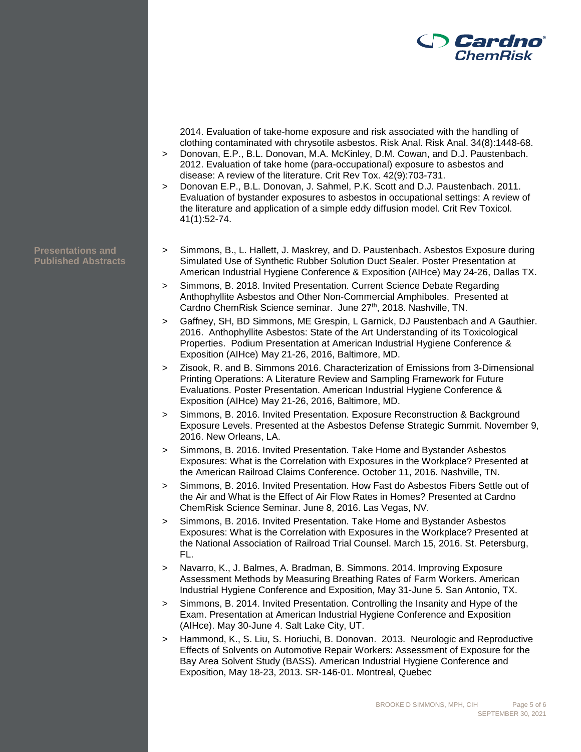

2014. Evaluation of take-home exposure and risk associated with the handling of clothing contaminated with chrysotile asbestos. Risk Anal. Risk Anal. 34(8):1448-68.

- > Donovan, E.P., B.L. Donovan, M.A. McKinley, D.M. Cowan, and D.J. Paustenbach. 2012. Evaluation of take home (para-occupational) exposure to asbestos and disease: A review of the literature. Crit Rev Tox. 42(9):703-731.
- > Donovan E.P., B.L. Donovan, J. Sahmel, P.K. Scott and D.J. Paustenbach. 2011. Evaluation of bystander exposures to asbestos in occupational settings: A review of the literature and application of a simple eddy diffusion model. Crit Rev Toxicol. 41(1):52-74.
- > Simmons, B., L. Hallett, J. Maskrey, and D. Paustenbach. Asbestos Exposure during Simulated Use of Synthetic Rubber Solution Duct Sealer. Poster Presentation at American Industrial Hygiene Conference & Exposition (AIHce) May 24-26, Dallas TX.
- > Simmons, B. 2018. Invited Presentation. Current Science Debate Regarding Anthophyllite Asbestos and Other Non-Commercial Amphiboles. Presented at Cardno ChemRisk Science seminar. June 27<sup>th</sup>, 2018. Nashville, TN.
- > Gaffney, SH, BD Simmons, ME Grespin, L Garnick, DJ Paustenbach and A Gauthier. 2016. Anthophyllite Asbestos: State of the Art Understanding of its Toxicological Properties. Podium Presentation at American Industrial Hygiene Conference & Exposition (AIHce) May 21-26, 2016, Baltimore, MD.
- > Zisook, R. and B. Simmons 2016. Characterization of Emissions from 3-Dimensional Printing Operations: A Literature Review and Sampling Framework for Future Evaluations. Poster Presentation. American Industrial Hygiene Conference & Exposition (AIHce) May 21-26, 2016, Baltimore, MD.
- > Simmons, B. 2016. Invited Presentation. Exposure Reconstruction & Background Exposure Levels. Presented at the Asbestos Defense Strategic Summit. November 9, 2016. New Orleans, LA.
- Simmons, B. 2016. Invited Presentation. Take Home and Bystander Asbestos Exposures: What is the Correlation with Exposures in the Workplace? Presented at the American Railroad Claims Conference. October 11, 2016. Nashville, TN.
- > Simmons, B. 2016. Invited Presentation. How Fast do Asbestos Fibers Settle out of the Air and What is the Effect of Air Flow Rates in Homes? Presented at Cardno ChemRisk Science Seminar. June 8, 2016. Las Vegas, NV.
- > Simmons, B. 2016. Invited Presentation. Take Home and Bystander Asbestos Exposures: What is the Correlation with Exposures in the Workplace? Presented at the National Association of Railroad Trial Counsel. March 15, 2016. St. Petersburg, FL.
- > Navarro, K., J. Balmes, A. Bradman, B. Simmons. 2014. Improving Exposure Assessment Methods by Measuring Breathing Rates of Farm Workers. American Industrial Hygiene Conference and Exposition, May 31-June 5. San Antonio, TX.
- > Simmons, B. 2014. Invited Presentation. Controlling the Insanity and Hype of the Exam. Presentation at American Industrial Hygiene Conference and Exposition (AIHce). May 30-June 4. Salt Lake City, UT.
- > Hammond, K., S. Liu, S. Horiuchi, B. Donovan. 2013. Neurologic and Reproductive Effects of Solvents on Automotive Repair Workers: Assessment of Exposure for the Bay Area Solvent Study (BASS). American Industrial Hygiene Conference and Exposition, May 18-23, 2013. SR-146-01. Montreal, Quebec

**Presentations and Published Abstracts**